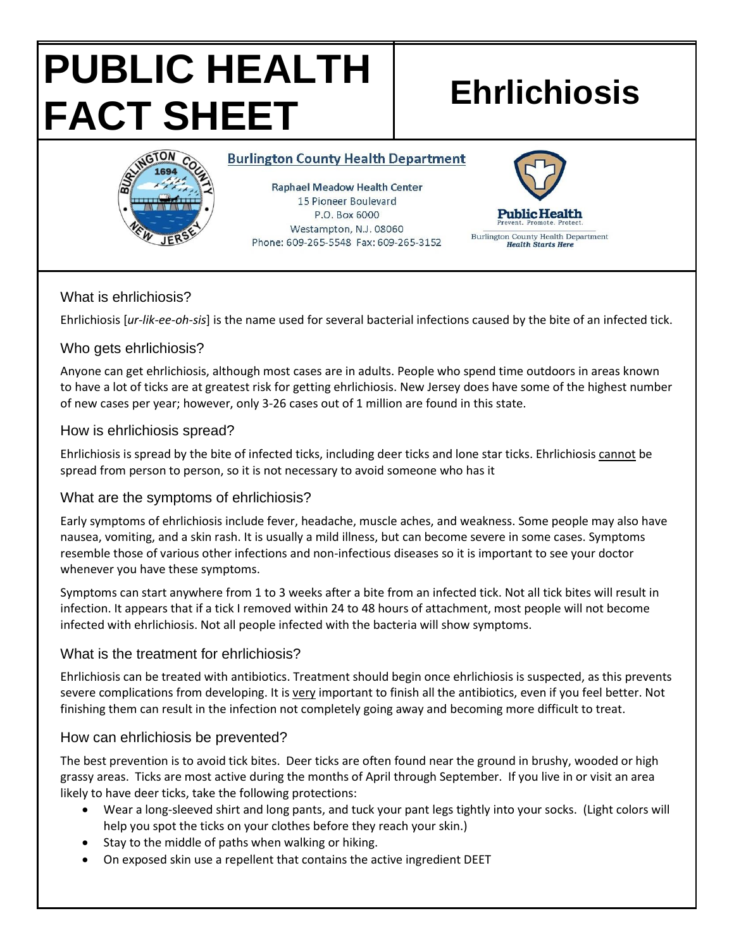# **PUBLIC HEALTH FACT SHEET Ehrlichiosis**



**Burlington County Health Department** 

**Raphael Meadow Health Center** 15 Pioneer Boulevard P.O. Box 6000 Westampton, N.J. 08060 Phone: 609-265-5548 Fax: 609-265-3152



#### What is ehrlichiosis?

Ehrlichiosis [*ur-lik-ee-oh-sis*] is the name used for several bacterial infections caused by the bite of an infected tick.

### Who gets ehrlichiosis?

Anyone can get ehrlichiosis, although most cases are in adults. People who spend time outdoors in areas known to have a lot of ticks are at greatest risk for getting ehrlichiosis. New Jersey does have some of the highest number of new cases per year; however, only 3-26 cases out of 1 million are found in this state.

### How is ehrlichiosis spread?

Ehrlichiosis is spread by the bite of infected ticks, including deer ticks and lone star ticks. Ehrlichiosis cannot be spread from person to person, so it is not necessary to avoid someone who has it

# What are the symptoms of ehrlichiosis?

Early symptoms of ehrlichiosis include fever, headache, muscle aches, and weakness. Some people may also have nausea, vomiting, and a skin rash. It is usually a mild illness, but can become severe in some cases. Symptoms resemble those of various other infections and non-infectious diseases so it is important to see your doctor whenever you have these symptoms.

Symptoms can start anywhere from 1 to 3 weeks after a bite from an infected tick. Not all tick bites will result in infection. It appears that if a tick I removed within 24 to 48 hours of attachment, most people will not become infected with ehrlichiosis. Not all people infected with the bacteria will show symptoms.

#### What is the treatment for ehrlichiosis?

Ehrlichiosis can be treated with antibiotics. Treatment should begin once ehrlichiosis is suspected, as this prevents severe complications from developing. It is very important to finish all the antibiotics, even if you feel better. Not finishing them can result in the infection not completely going away and becoming more difficult to treat.

# How can ehrlichiosis be prevented?

The best prevention is to avoid tick bites. Deer ticks are often found near the ground in brushy, wooded or high grassy areas. Ticks are most active during the months of April through September. If you live in or visit an area likely to have deer ticks, take the following protections:

- Wear a long-sleeved shirt and long pants, and tuck your pant legs tightly into your socks. (Light colors will help you spot the ticks on your clothes before they reach your skin.)
- Stay to the middle of paths when walking or hiking.
- On exposed skin use a repellent that contains the active ingredient DEET